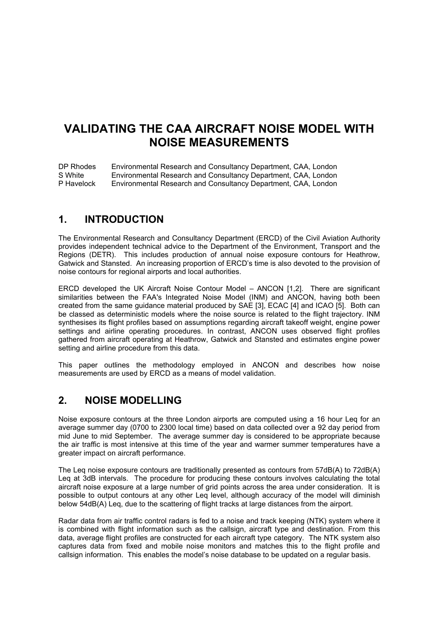# **VALIDATING THE CAA AIRCRAFT NOISE MODEL WITH NOISE MEASUREMENTS**

DP Rhodes Environmental Research and Consultancy Department, CAA, London<br>S White Environmental Research and Consultancy Department. CAA London S White Environmental Research and Consultancy Department, CAA, London<br>P Havelock Environmental Research and Consultancy Department, CAA, London **Environmental Research and Consultancy Department, CAA, London** 

### **1. INTRODUCTION**

The Environmental Research and Consultancy Department (ERCD) of the Civil Aviation Authority provides independent technical advice to the Department of the Environment, Transport and the Regions (DETR). This includes production of annual noise exposure contours for Heathrow, Gatwick and Stansted. An increasing proportion of ERCD's time is also devoted to the provision of noise contours for regional airports and local authorities.

ERCD developed the UK Aircraft Noise Contour Model – ANCON [1,2]. There are significant similarities between the FAA's Integrated Noise Model (INM) and ANCON, having both been created from the same guidance material produced by SAE [3], ECAC [4] and ICAO [5]. Both can be classed as deterministic models where the noise source is related to the flight trajectory. INM synthesises its flight profiles based on assumptions regarding aircraft takeoff weight, engine power settings and airline operating procedures. In contrast, ANCON uses observed flight profiles gathered from aircraft operating at Heathrow, Gatwick and Stansted and estimates engine power setting and airline procedure from this data.

This paper outlines the methodology employed in ANCON and describes how noise measurements are used by ERCD as a means of model validation.

# **2. NOISE MODELLING**

Noise exposure contours at the three London airports are computed using a 16 hour Leq for an average summer day (0700 to 2300 local time) based on data collected over a 92 day period from mid June to mid September. The average summer day is considered to be appropriate because the air traffic is most intensive at this time of the year and warmer summer temperatures have a greater impact on aircraft performance.

The Leq noise exposure contours are traditionally presented as contours from 57dB(A) to 72dB(A) Leq at 3dB intervals. The procedure for producing these contours involves calculating the total aircraft noise exposure at a large number of grid points across the area under consideration. It is possible to output contours at any other Leq level, although accuracy of the model will diminish below 54dB(A) Leq, due to the scattering of flight tracks at large distances from the airport.

Radar data from air traffic control radars is fed to a noise and track keeping (NTK) system where it is combined with flight information such as the callsign, aircraft type and destination. From this data, average flight profiles are constructed for each aircraft type category. The NTK system also captures data from fixed and mobile noise monitors and matches this to the flight profile and callsign information. This enables the model's noise database to be updated on a regular basis.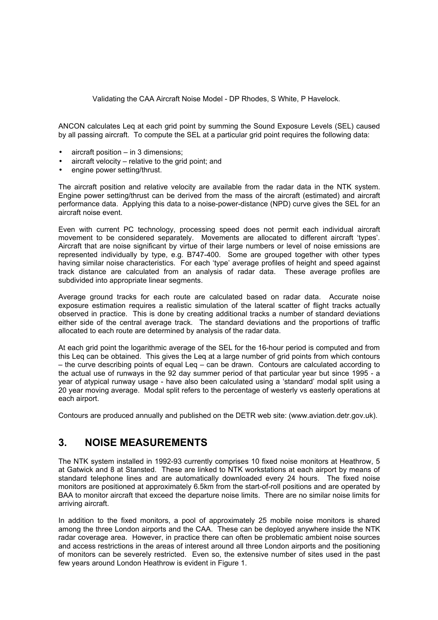ANCON calculates Leq at each grid point by summing the Sound Exposure Levels (SEL) caused by all passing aircraft. To compute the SEL at a particular grid point requires the following data:

- aircraft position in 3 dimensions;
- aircraft velocity  $-$  relative to the grid point; and
- engine power setting/thrust.

The aircraft position and relative velocity are available from the radar data in the NTK system. Engine power setting/thrust can be derived from the mass of the aircraft (estimated) and aircraft performance data. Applying this data to a noise-power-distance (NPD) curve gives the SEL for an aircraft noise event.

Even with current PC technology, processing speed does not permit each individual aircraft movement to be considered separately. Movements are allocated to different aircraft 'types'. Aircraft that are noise significant by virtue of their large numbers or level of noise emissions are represented individually by type, e.g. B747-400. Some are grouped together with other types having similar noise characteristics. For each 'type' average profiles of height and speed against track distance are calculated from an analysis of radar data. These average profiles are subdivided into appropriate linear segments.

Average ground tracks for each route are calculated based on radar data. Accurate noise exposure estimation requires a realistic simulation of the lateral scatter of flight tracks actually observed in practice. This is done by creating additional tracks a number of standard deviations either side of the central average track. The standard deviations and the proportions of traffic allocated to each route are determined by analysis of the radar data.

At each grid point the logarithmic average of the SEL for the 16-hour period is computed and from this Leq can be obtained. This gives the Leq at a large number of grid points from which contours – the curve describing points of equal Leq – can be drawn. Contours are calculated according to the actual use of runways in the 92 day summer period of that particular year but since 1995 - a year of atypical runway usage - have also been calculated using a 'standard' modal split using a 20 year moving average. Modal split refers to the percentage of westerly vs easterly operations at each airport.

Contours are produced annually and published on the DETR web site: (www.aviation.detr.gov.uk).

### **3. NOISE MEASUREMENTS**

The NTK system installed in 1992-93 currently comprises 10 fixed noise monitors at Heathrow, 5 at Gatwick and 8 at Stansted. These are linked to NTK workstations at each airport by means of standard telephone lines and are automatically downloaded every 24 hours. The fixed noise monitors are positioned at approximately 6.5km from the start-of-roll positions and are operated by BAA to monitor aircraft that exceed the departure noise limits. There are no similar noise limits for arriving aircraft.

In addition to the fixed monitors, a pool of approximately 25 mobile noise monitors is shared among the three London airports and the CAA. These can be deployed anywhere inside the NTK radar coverage area. However, in practice there can often be problematic ambient noise sources and access restrictions in the areas of interest around all three London airports and the positioning of monitors can be severely restricted. Even so, the extensive number of sites used in the past few years around London Heathrow is evident in Figure 1.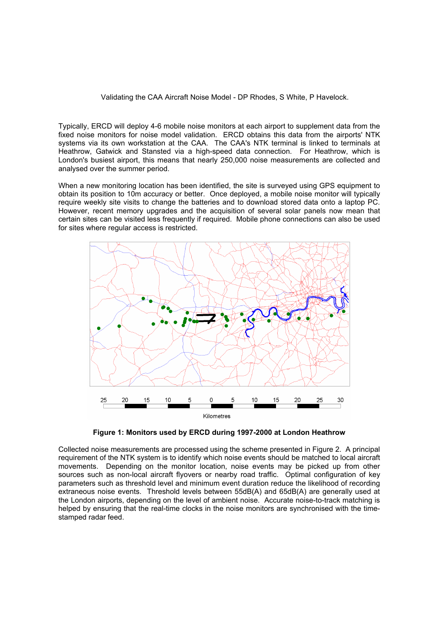Typically, ERCD will deploy 4-6 mobile noise monitors at each airport to supplement data from the fixed noise monitors for noise model validation. ERCD obtains this data from the airports' NTK systems via its own workstation at the CAA. The CAA's NTK terminal is linked to terminals at Heathrow, Gatwick and Stansted via a high-speed data connection. For Heathrow, which is London's busiest airport, this means that nearly 250,000 noise measurements are collected and analysed over the summer period.

When a new monitoring location has been identified, the site is surveyed using GPS equipment to obtain its position to 10m accuracy or better. Once deployed, a mobile noise monitor will typically require weekly site visits to change the batteries and to download stored data onto a laptop PC. However, recent memory upgrades and the acquisition of several solar panels now mean that certain sites can be visited less frequently if required. Mobile phone connections can also be used for sites where regular access is restricted.



**Figure 1: Monitors used by ERCD during 1997-2000 at London Heathrow**

Collected noise measurements are processed using the scheme presented in Figure 2. A principal requirement of the NTK system is to identify which noise events should be matched to local aircraft movements. Depending on the monitor location, noise events may be picked up from other sources such as non-local aircraft flyovers or nearby road traffic. Optimal configuration of key parameters such as threshold level and minimum event duration reduce the likelihood of recording extraneous noise events. Threshold levels between 55dB(A) and 65dB(A) are generally used at the London airports, depending on the level of ambient noise. Accurate noise-to-track matching is helped by ensuring that the real-time clocks in the noise monitors are synchronised with the timestamped radar feed.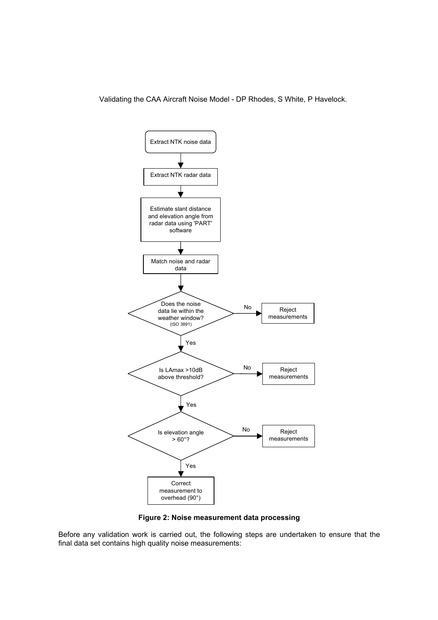

**Figure 2: Noise measurement data processing**

Before any validation work is carried out, the following steps are undertaken to ensure that the final data set contains high quality noise measurements: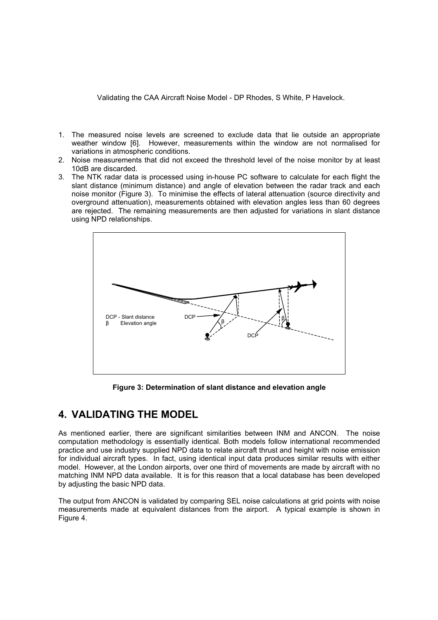- 1. The measured noise levels are screened to exclude data that lie outside an appropriate weather window [6]. However, measurements within the window are not normalised for variations in atmospheric conditions.
- 2. Noise measurements that did not exceed the threshold level of the noise monitor by at least 10dB are discarded.
- 3. The NTK radar data is processed using in-house PC software to calculate for each flight the slant distance (minimum distance) and angle of elevation between the radar track and each noise monitor (Figure 3). To minimise the effects of lateral attenuation (source directivity and overground attenuation), measurements obtained with elevation angles less than 60 degrees are rejected. The remaining measurements are then adjusted for variations in slant distance using NPD relationships.



**Figure 3: Determination of slant distance and elevation angle**

### **4. VALIDATING THE MODEL**

As mentioned earlier, there are significant similarities between INM and ANCON. The noise computation methodology is essentially identical. Both models follow international recommended practice and use industry supplied NPD data to relate aircraft thrust and height with noise emission for individual aircraft types. In fact, using identical input data produces similar results with either model. However, at the London airports, over one third of movements are made by aircraft with no matching INM NPD data available. It is for this reason that a local database has been developed by adjusting the basic NPD data.

The output from ANCON is validated by comparing SEL noise calculations at grid points with noise measurements made at equivalent distances from the airport. A typical example is shown in Figure 4.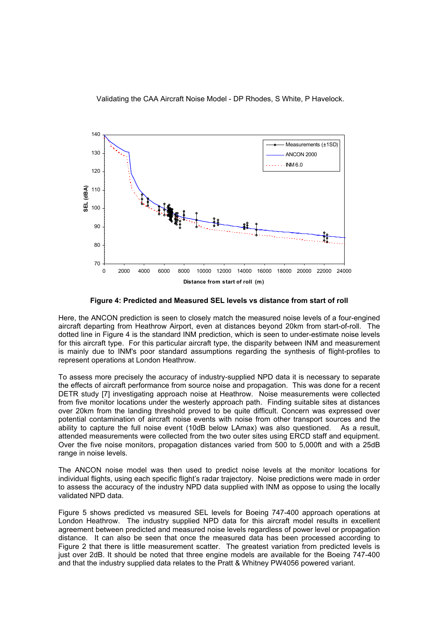

**Figure 4: Predicted and Measured SEL levels vs distance from start of roll**

Here, the ANCON prediction is seen to closely match the measured noise levels of a four-engined aircraft departing from Heathrow Airport, even at distances beyond 20km from start-of-roll. The dotted line in Figure 4 is the standard INM prediction, which is seen to under-estimate noise levels for this aircraft type. For this particular aircraft type, the disparity between INM and measurement is mainly due to INM's poor standard assumptions regarding the synthesis of flight-profiles to represent operations at London Heathrow.

To assess more precisely the accuracy of industry-supplied NPD data it is necessary to separate the effects of aircraft performance from source noise and propagation. This was done for a recent DETR study [7] investigating approach noise at Heathrow. Noise measurements were collected from five monitor locations under the westerly approach path. Finding suitable sites at distances over 20km from the landing threshold proved to be quite difficult. Concern was expressed over potential contamination of aircraft noise events with noise from other transport sources and the ability to capture the full noise event (10dB below LAmax) was also questioned. As a result, attended measurements were collected from the two outer sites using ERCD staff and equipment. Over the five noise monitors, propagation distances varied from 500 to 5,000ft and with a 25dB range in noise levels.

The ANCON noise model was then used to predict noise levels at the monitor locations for individual flights, using each specific flight's radar trajectory. Noise predictions were made in order to assess the accuracy of the industry NPD data supplied with INM as oppose to using the locally validated NPD data.

Figure 5 shows predicted vs measured SEL levels for Boeing 747-400 approach operations at London Heathrow. The industry supplied NPD data for this aircraft model results in excellent agreement between predicted and measured noise levels regardless of power level or propagation distance. It can also be seen that once the measured data has been processed according to Figure 2 that there is little measurement scatter. The greatest variation from predicted levels is just over 2dB. It should be noted that three engine models are available for the Boeing 747-400 and that the industry supplied data relates to the Pratt & Whitney PW4056 powered variant.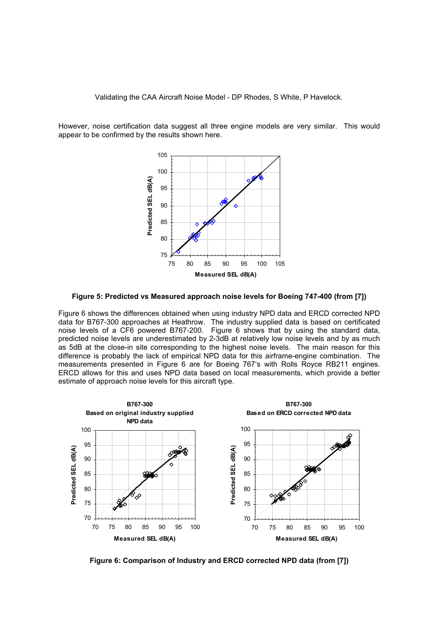However, noise certification data suggest all three engine models are very similar. This would appear to be confirmed by the results shown here.



**Figure 5: Predicted vs Measured approach noise levels for Boeing 747-400 (from [7])**

Figure 6 shows the differences obtained when using industry NPD data and ERCD corrected NPD data for B767-300 approaches at Heathrow. The industry supplied data is based on certificated noise levels of a CF6 powered B767-200. Figure 6 shows that by using the standard data, predicted noise levels are underestimated by 2-3dB at relatively low noise levels and by as much as 5dB at the close-in site corresponding to the highest noise levels. The main reason for this difference is probably the lack of empirical NPD data for this airframe-engine combination. The measurements presented in Figure 6 are for Boeing 767's with Rolls Royce RB211 engines. ERCD allows for this and uses NPD data based on local measurements, which provide a better estimate of approach noise levels for this aircraft type.



**Figure 6: Comparison of Industry and ERCD corrected NPD data (from [7])**